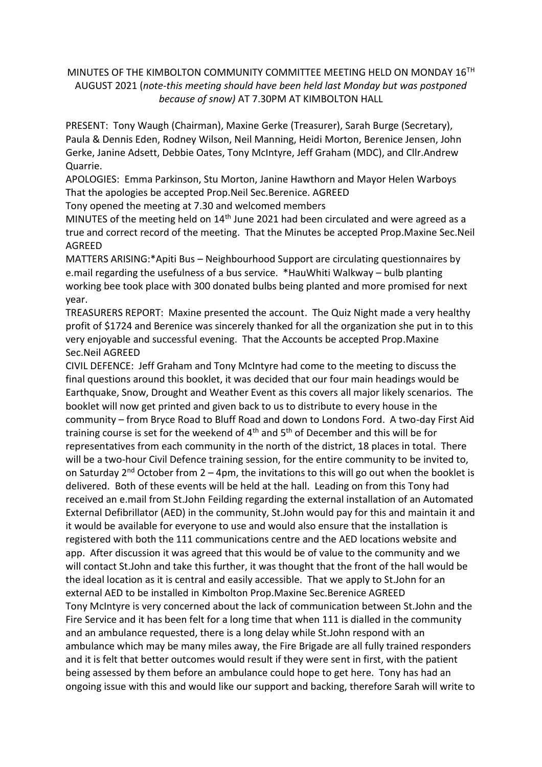## MINUTES OF THE KIMBOLTON COMMUNITY COMMITTEE MEETING HELD ON MONDAY 16TH AUGUST 2021 (*note-this meeting should have been held last Monday but was postponed because of snow)* AT 7.30PM AT KIMBOLTON HALL

PRESENT: Tony Waugh (Chairman), Maxine Gerke (Treasurer), Sarah Burge (Secretary), Paula & Dennis Eden, Rodney Wilson, Neil Manning, Heidi Morton, Berenice Jensen, John Gerke, Janine Adsett, Debbie Oates, Tony McIntyre, Jeff Graham (MDC), and Cllr.Andrew Quarrie.

APOLOGIES: Emma Parkinson, Stu Morton, Janine Hawthorn and Mayor Helen Warboys That the apologies be accepted Prop.Neil Sec.Berenice. AGREED

Tony opened the meeting at 7.30 and welcomed members

MINUTES of the meeting held on 14<sup>th</sup> June 2021 had been circulated and were agreed as a true and correct record of the meeting. That the Minutes be accepted Prop.Maxine Sec.Neil AGREED

MATTERS ARISING:\*Apiti Bus – Neighbourhood Support are circulating questionnaires by e.mail regarding the usefulness of a bus service. \*HauWhiti Walkway – bulb planting working bee took place with 300 donated bulbs being planted and more promised for next year.

TREASURERS REPORT: Maxine presented the account. The Quiz Night made a very healthy profit of \$1724 and Berenice was sincerely thanked for all the organization she put in to this very enjoyable and successful evening. That the Accounts be accepted Prop.Maxine Sec.Neil AGREED

CIVIL DEFENCE: Jeff Graham and Tony McIntyre had come to the meeting to discuss the final questions around this booklet, it was decided that our four main headings would be Earthquake, Snow, Drought and Weather Event as this covers all major likely scenarios. The booklet will now get printed and given back to us to distribute to every house in the community – from Bryce Road to Bluff Road and down to Londons Ford. A two-day First Aid training course is set for the weekend of  $4<sup>th</sup>$  and  $5<sup>th</sup>$  of December and this will be for representatives from each community in the north of the district, 18 places in total. There will be a two-hour Civil Defence training session, for the entire community to be invited to, on Saturday  $2^{nd}$  October from 2 – 4pm, the invitations to this will go out when the booklet is delivered. Both of these events will be held at the hall. Leading on from this Tony had received an e.mail from St.John Feilding regarding the external installation of an Automated External Defibrillator (AED) in the community, St.John would pay for this and maintain it and it would be available for everyone to use and would also ensure that the installation is registered with both the 111 communications centre and the AED locations website and app. After discussion it was agreed that this would be of value to the community and we will contact St.John and take this further, it was thought that the front of the hall would be the ideal location as it is central and easily accessible. That we apply to St.John for an external AED to be installed in Kimbolton Prop.Maxine Sec.Berenice AGREED Tony McIntyre is very concerned about the lack of communication between St.John and the Fire Service and it has been felt for a long time that when 111 is dialled in the community and an ambulance requested, there is a long delay while St.John respond with an ambulance which may be many miles away, the Fire Brigade are all fully trained responders and it is felt that better outcomes would result if they were sent in first, with the patient being assessed by them before an ambulance could hope to get here. Tony has had an ongoing issue with this and would like our support and backing, therefore Sarah will write to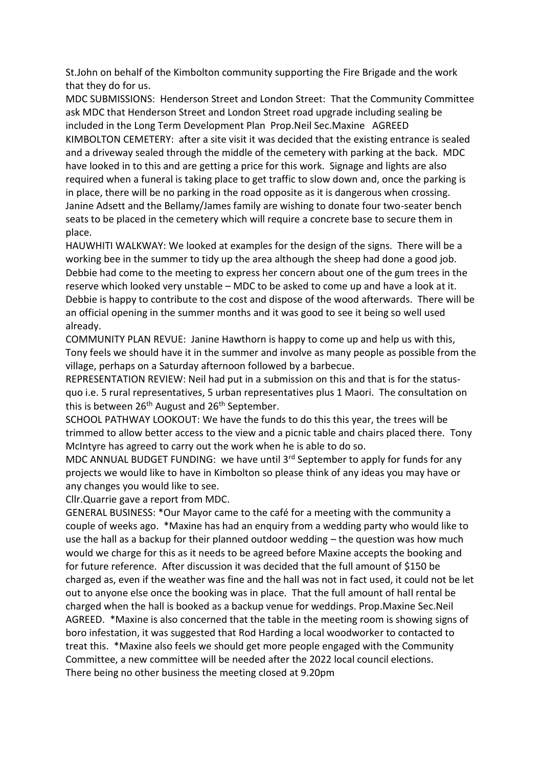St.John on behalf of the Kimbolton community supporting the Fire Brigade and the work that they do for us.

MDC SUBMISSIONS: Henderson Street and London Street: That the Community Committee ask MDC that Henderson Street and London Street road upgrade including sealing be included in the Long Term Development Plan Prop.Neil Sec.Maxine AGREED KIMBOLTON CEMETERY: after a site visit it was decided that the existing entrance is sealed and a driveway sealed through the middle of the cemetery with parking at the back. MDC have looked in to this and are getting a price for this work. Signage and lights are also required when a funeral is taking place to get traffic to slow down and, once the parking is in place, there will be no parking in the road opposite as it is dangerous when crossing. Janine Adsett and the Bellamy/James family are wishing to donate four two-seater bench seats to be placed in the cemetery which will require a concrete base to secure them in place.

HAUWHITI WALKWAY: We looked at examples for the design of the signs. There will be a working bee in the summer to tidy up the area although the sheep had done a good job. Debbie had come to the meeting to express her concern about one of the gum trees in the reserve which looked very unstable – MDC to be asked to come up and have a look at it. Debbie is happy to contribute to the cost and dispose of the wood afterwards. There will be an official opening in the summer months and it was good to see it being so well used already.

COMMUNITY PLAN REVUE: Janine Hawthorn is happy to come up and help us with this, Tony feels we should have it in the summer and involve as many people as possible from the village, perhaps on a Saturday afternoon followed by a barbecue.

REPRESENTATION REVIEW: Neil had put in a submission on this and that is for the statusquo i.e. 5 rural representatives, 5 urban representatives plus 1 Maori. The consultation on this is between 26<sup>th</sup> August and 26<sup>th</sup> September.

SCHOOL PATHWAY LOOKOUT: We have the funds to do this this year, the trees will be trimmed to allow better access to the view and a picnic table and chairs placed there. Tony McIntyre has agreed to carry out the work when he is able to do so.

MDC ANNUAL BUDGET FUNDING: we have until  $3<sup>rd</sup>$  September to apply for funds for any projects we would like to have in Kimbolton so please think of any ideas you may have or any changes you would like to see.

Cllr.Quarrie gave a report from MDC.

GENERAL BUSINESS: \*Our Mayor came to the café for a meeting with the community a couple of weeks ago. \*Maxine has had an enquiry from a wedding party who would like to use the hall as a backup for their planned outdoor wedding – the question was how much would we charge for this as it needs to be agreed before Maxine accepts the booking and for future reference. After discussion it was decided that the full amount of \$150 be charged as, even if the weather was fine and the hall was not in fact used, it could not be let out to anyone else once the booking was in place. That the full amount of hall rental be charged when the hall is booked as a backup venue for weddings. Prop.Maxine Sec.Neil AGREED. \*Maxine is also concerned that the table in the meeting room is showing signs of boro infestation, it was suggested that Rod Harding a local woodworker to contacted to treat this. \*Maxine also feels we should get more people engaged with the Community Committee, a new committee will be needed after the 2022 local council elections. There being no other business the meeting closed at 9.20pm